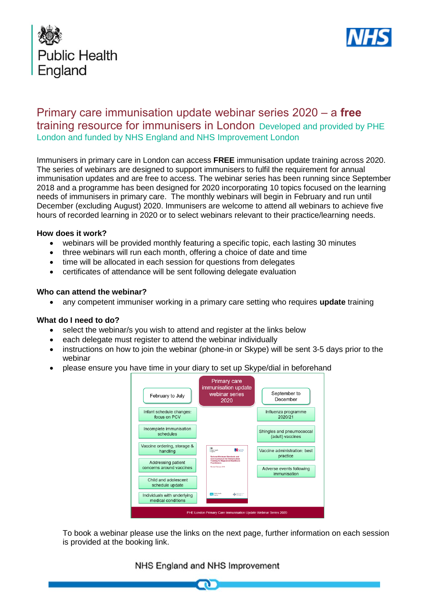



# Primary care immunisation update webinar series 2020 – a **free** training resource for immunisers in London Developed and provided by PHE London and funded by NHS England and NHS Improvement London

Immunisers in primary care in London can access **FREE** immunisation update training across 2020. The series of webinars are designed to support immunisers to fulfil the requirement for annual immunisation updates and are free to access. The webinar series has been running since September 2018 and a programme has been designed for 2020 incorporating 10 topics focused on the learning needs of immunisers in primary care. The monthly webinars will begin in February and run until December (excluding August) 2020. Immunisers are welcome to attend all webinars to achieve five hours of recorded learning in 2020 or to select webinars relevant to their practice/learning needs.

#### **How does it work?**

- webinars will be provided monthly featuring a specific topic, each lasting 30 minutes
- three webinars will run each month, offering a choice of date and time
- time will be allocated in each session for questions from delegates
- certificates of attendance will be sent following delegate evaluation

#### **Who can attend the webinar?**

• any competent immuniser working in a primary care setting who requires **update** training

#### **What do I need to do?**

- select the webinar/s you wish to attend and register at the links below
- each delegate must register to attend the webinar individually
- instructions on how to join the webinar (phone-in or Skype) will be sent 3-5 days prior to the webinar
- please ensure you have time in your diary to set up Skype/dial in beforehand



To book a webinar please use the links on the next page, further information on each session is provided at the booking link.

### NHS England and NHS Improvement